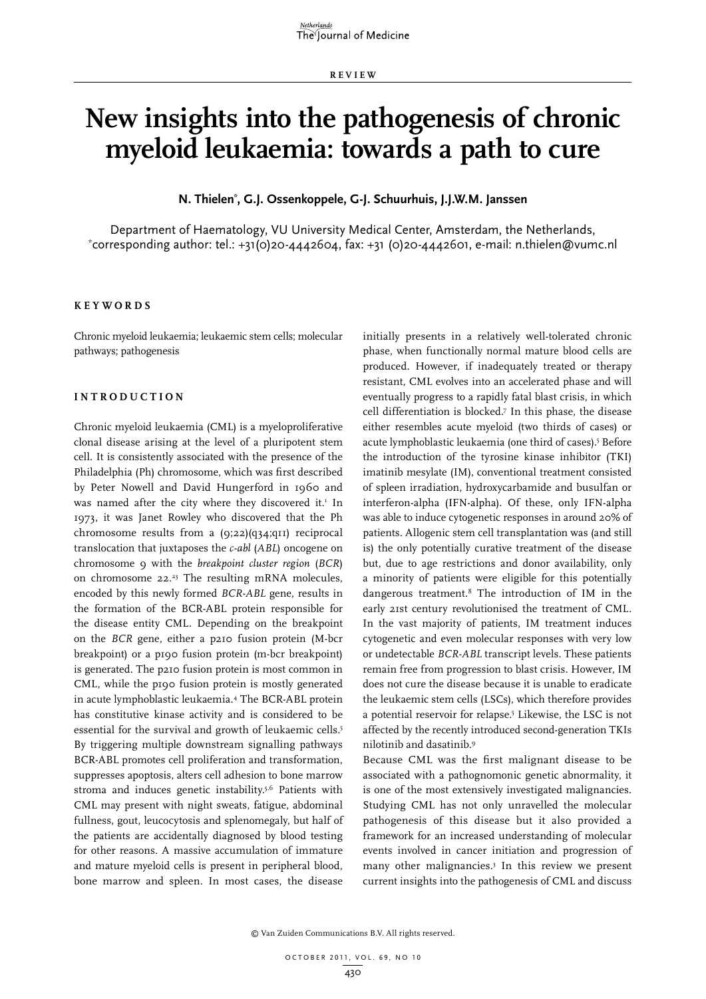**RE V IE W**

# **New insights into the pathogenesis of chronic myeloid leukaemia: towards a path to cure**

**N. Thielen\* , G.J. Ossenkoppele, G-J. Schuurhuis, J.J.W.M. Janssen**

Department of Haematology, VU University Medical Center, Amsterdam, the Netherlands, \*  $\text{'corresponding author: tel.: +31(O)2O-44426O4, fax: +31 (O)2O-44426O1, e-mail: n.thielen@vumc.nl.}$ 

#### **K e y w o r d s**

Chronic myeloid leukaemia; leukaemic stem cells; molecular pathways; pathogenesis

# **I n t r o d uc t i o n**

Chronic myeloid leukaemia (CML) is a myeloproliferative clonal disease arising at the level of a pluripotent stem cell. It is consistently associated with the presence of the Philadelphia (Ph) chromosome, which was first described by Peter Nowell and David Hungerford in 1960 and was named after the city where they discovered it. $I$  In 1973, it was Janet Rowley who discovered that the Ph chromosome results from a (9;22)(q34;q11) reciprocal translocation that juxtaposes the *c-abl* (*ABL*) oncogene on chromosome 9 with the *breakpoint cluster region* (*BCR*) on chromosome 22.23 The resulting mRNA molecules, encoded by this newly formed *BCR-ABL* gene, results in the formation of the BCR-ABL protein responsible for the disease entity CML. Depending on the breakpoint on the *BCR* gene, either a p210 fusion protein (M-bcr breakpoint) or a p190 fusion protein (m-bcr breakpoint) is generated. The p210 fusion protein is most common in CML, while the p190 fusion protein is mostly generated in acute lymphoblastic leukaemia.4 The BCR-ABL protein has constitutive kinase activity and is considered to be essential for the survival and growth of leukaemic cells.<sup>5</sup> By triggering multiple downstream signalling pathways BCR-ABL promotes cell proliferation and transformation, suppresses apoptosis, alters cell adhesion to bone marrow stroma and induces genetic instability.5,6 Patients with CML may present with night sweats, fatigue, abdominal fullness, gout, leucocytosis and splenomegaly, but half of the patients are accidentally diagnosed by blood testing for other reasons. A massive accumulation of immature and mature myeloid cells is present in peripheral blood, bone marrow and spleen. In most cases, the disease

initially presents in a relatively well-tolerated chronic phase, when functionally normal mature blood cells are produced. However, if inadequately treated or therapy resistant, CML evolves into an accelerated phase and will eventually progress to a rapidly fatal blast crisis, in which cell differentiation is blocked.7 In this phase, the disease either resembles acute myeloid (two thirds of cases) or acute lymphoblastic leukaemia (one third of cases).5 Before the introduction of the tyrosine kinase inhibitor (TKI) imatinib mesylate (IM), conventional treatment consisted of spleen irradiation, hydroxycarbamide and busulfan or interferon-alpha (IFN-alpha). Of these, only IFN-alpha was able to induce cytogenetic responses in around 20% of patients. Allogenic stem cell transplantation was (and still is) the only potentially curative treatment of the disease but, due to age restrictions and donor availability, only a minority of patients were eligible for this potentially dangerous treatment.8 The introduction of IM in the early 21st century revolutionised the treatment of CML. In the vast majority of patients, IM treatment induces cytogenetic and even molecular responses with very low or undetectable *BCR-ABL* transcript levels. These patients remain free from progression to blast crisis. However, IM does not cure the disease because it is unable to eradicate the leukaemic stem cells (LSCs), which therefore provides a potential reservoir for relapse.<sup>5</sup> Likewise, the LSC is not affected by the recently introduced second-generation TKIs nilotinib and dasatinib.9

Because CML was the first malignant disease to be associated with a pathognomonic genetic abnormality, it is one of the most extensively investigated malignancies. Studying CML has not only unravelled the molecular pathogenesis of this disease but it also provided a framework for an increased understanding of molecular events involved in cancer initiation and progression of many other malignancies.3 In this review we present current insights into the pathogenesis of CML and discuss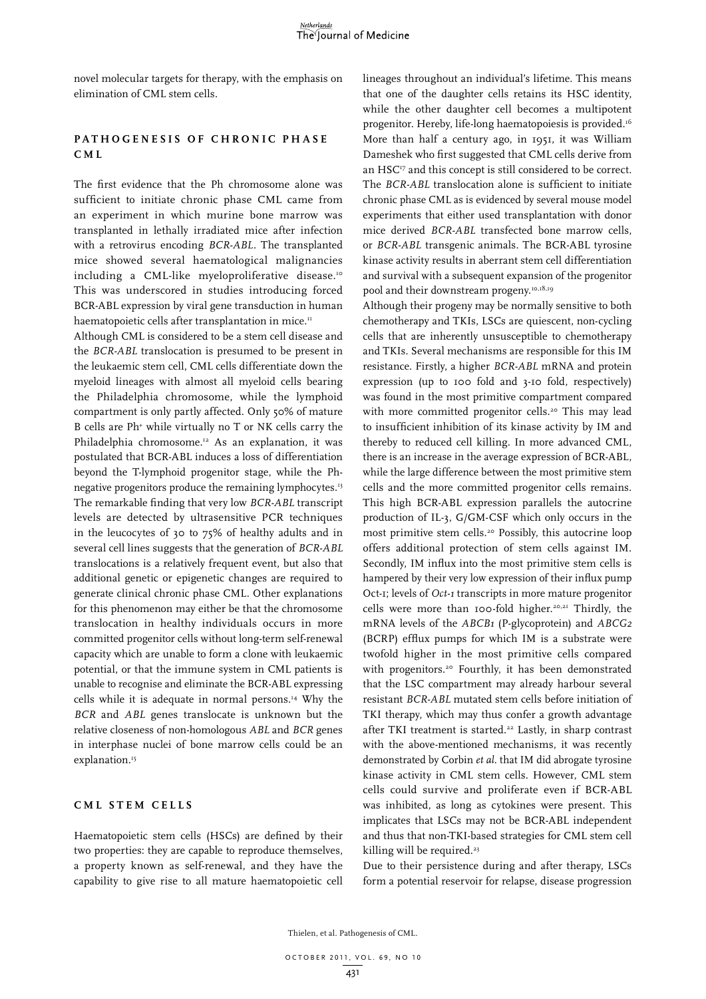novel molecular targets for therapy, with the emphasis on elimination of CML stem cells.

# **PATHOGENESIS OF CHRONIC PHASE C M L**

The first evidence that the Ph chromosome alone was sufficient to initiate chronic phase CML came from an experiment in which murine bone marrow was transplanted in lethally irradiated mice after infection with a retrovirus encoding *BCR-ABL*. The transplanted mice showed several haematological malignancies including a CML-like myeloproliferative disease.<sup>10</sup> This was underscored in studies introducing forced BCR-ABL expression by viral gene transduction in human haematopoietic cells after transplantation in mice.<sup>11</sup>

Although CML is considered to be a stem cell disease and the *BCR-ABL* translocation is presumed to be present in the leukaemic stem cell, CML cells differentiate down the myeloid lineages with almost all myeloid cells bearing the Philadelphia chromosome, while the lymphoid compartment is only partly affected. Only 50% of mature B cells are Ph+ while virtually no T or NK cells carry the Philadelphia chromosome.12 As an explanation, it was postulated that BCR-ABL induces a loss of differentiation beyond the T-lymphoid progenitor stage, while the Phnegative progenitors produce the remaining lymphocytes.13 The remarkable finding that very low *BCR-ABL* transcript levels are detected by ultrasensitive PCR techniques in the leucocytes of 30 to 75% of healthy adults and in several cell lines suggests that the generation of *BCR-ABL* translocations is a relatively frequent event, but also that additional genetic or epigenetic changes are required to generate clinical chronic phase CML. Other explanations for this phenomenon may either be that the chromosome translocation in healthy individuals occurs in more committed progenitor cells without long-term self-renewal capacity which are unable to form a clone with leukaemic potential, or that the immune system in CML patients is unable to recognise and eliminate the BCR-ABL expressing cells while it is adequate in normal persons.<sup>14</sup> Why the *BCR* and *ABL* genes translocate is unknown but the relative closeness of non-homologous *ABL* and *BCR* genes in interphase nuclei of bone marrow cells could be an explanation.<sup>15</sup>

### **C M L s t e m c e l l s**

Haematopoietic stem cells (HSCs) are defined by their two properties: they are capable to reproduce themselves, a property known as self-renewal, and they have the capability to give rise to all mature haematopoietic cell lineages throughout an individual's lifetime. This means that one of the daughter cells retains its HSC identity, while the other daughter cell becomes a multipotent progenitor. Hereby, life-long haematopoiesis is provided.<sup>16</sup> More than half a century ago, in 1951, it was William Dameshek who first suggested that CML cells derive from an HSC<sup>17</sup> and this concept is still considered to be correct. The *BCR-ABL* translocation alone is sufficient to initiate chronic phase CML as is evidenced by several mouse model experiments that either used transplantation with donor mice derived *BCR-ABL* transfected bone marrow cells, or *BCR-ABL* transgenic animals. The BCR-ABL tyrosine kinase activity results in aberrant stem cell differentiation and survival with a subsequent expansion of the progenitor pool and their downstream progeny.<sup>10,18,19</sup>

Although their progeny may be normally sensitive to both chemotherapy and TKIs, LSCs are quiescent, non-cycling cells that are inherently unsusceptible to chemotherapy and TKIs. Several mechanisms are responsible for this IM resistance. Firstly, a higher *BCR-ABL* mRNA and protein expression (up to 100 fold and 3-10 fold, respectively) was found in the most primitive compartment compared with more committed progenitor cells.<sup>20</sup> This may lead to insufficient inhibition of its kinase activity by IM and thereby to reduced cell killing. In more advanced CML, there is an increase in the average expression of BCR-ABL, while the large difference between the most primitive stem cells and the more committed progenitor cells remains. This high BCR-ABL expression parallels the autocrine production of IL-3, G/GM-CSF which only occurs in the most primitive stem cells.<sup>20</sup> Possibly, this autocrine loop offers additional protection of stem cells against IM. Secondly, IM influx into the most primitive stem cells is hampered by their very low expression of their influx pump Oct-1; levels of *Oct-1* transcripts in more mature progenitor cells were more than 100-fold higher.20,21 Thirdly, the mRNA levels of the *ABCB1* (P-glycoprotein) and *ABCG2* (BCRP) efflux pumps for which IM is a substrate were twofold higher in the most primitive cells compared with progenitors.<sup>20</sup> Fourthly, it has been demonstrated that the LSC compartment may already harbour several resistant *BCR-ABL* mutated stem cells before initiation of TKI therapy, which may thus confer a growth advantage after TKI treatment is started.<sup>22</sup> Lastly, in sharp contrast with the above-mentioned mechanisms, it was recently demonstrated by Corbin *et al*. that IM did abrogate tyrosine kinase activity in CML stem cells. However, CML stem cells could survive and proliferate even if BCR-ABL was inhibited, as long as cytokines were present. This implicates that LSCs may not be BCR-ABL independent and thus that non-TKI-based strategies for CML stem cell killing will be required.<sup>23</sup>

Due to their persistence during and after therapy, LSCs form a potential reservoir for relapse, disease progression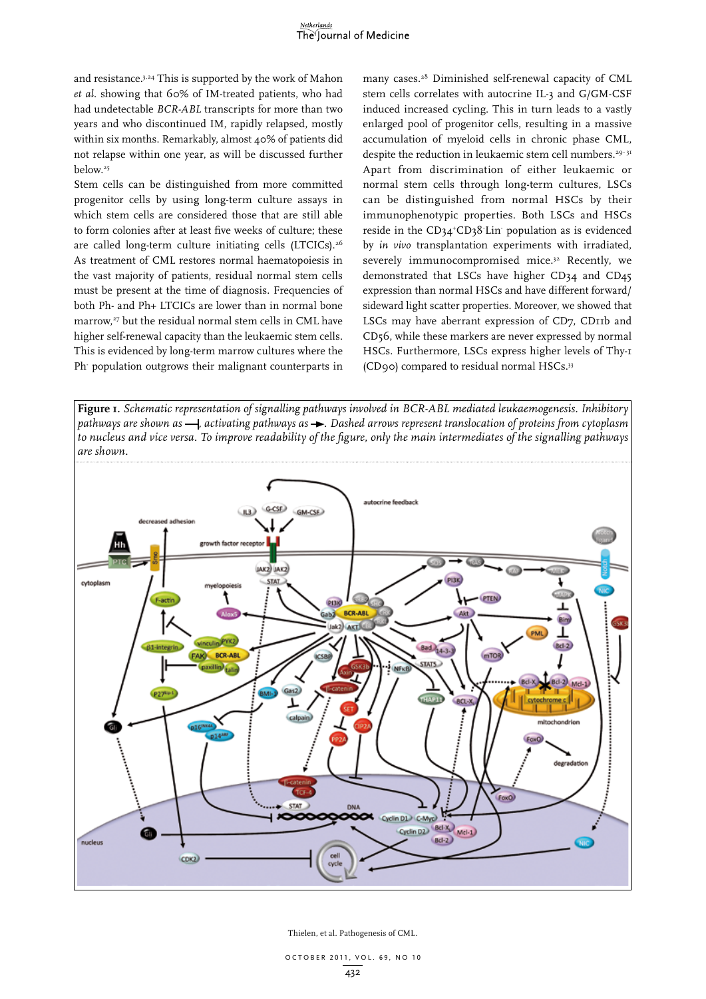and resistance.3,24 This is supported by the work of Mahon *et al*. showing that 60% of IM-treated patients, who had had undetectable *BCR-ABL* transcripts for more than two years and who discontinued IM, rapidly relapsed, mostly within six months. Remarkably, almost 40% of patients did not relapse within one year, as will be discussed further below.<sup>25</sup>

Stem cells can be distinguished from more committed progenitor cells by using long-term culture assays in which stem cells are considered those that are still able to form colonies after at least five weeks of culture; these are called long-term culture initiating cells (LTCICs).<sup>26</sup> As treatment of CML restores normal haematopoiesis in the vast majority of patients, residual normal stem cells must be present at the time of diagnosis. Frequencies of both Ph- and Ph+ LTCICs are lower than in normal bone marrow,<sup>27</sup> but the residual normal stem cells in CML have higher self-renewal capacity than the leukaemic stem cells. This is evidenced by long-term marrow cultures where the Ph- population outgrows their malignant counterparts in many cases.28 Diminished self-renewal capacity of CML stem cells correlates with autocrine IL-3 and G/GM-CSF induced increased cycling. This in turn leads to a vastly enlarged pool of progenitor cells, resulting in a massive accumulation of myeloid cells in chronic phase CML, despite the reduction in leukaemic stem cell numbers.<sup>29-31</sup> Apart from discrimination of either leukaemic or normal stem cells through long-term cultures, LSCs can be distinguished from normal HSCs by their immunophenotypic properties. Both LSCs and HSCs reside in the CD34<sup>+</sup>CD38<sup>-</sup>Lin<sup>-</sup> population as is evidenced by *in vivo* transplantation experiments with irradiated, severely immunocompromised mice.<sup>32</sup> Recently, we demonstrated that LSCs have higher CD34 and CD45 expression than normal HSCs and have different forward/ sideward light scatter properties. Moreover, we showed that LSCs may have aberrant expression of CD7, CD11b and CD56, while these markers are never expressed by normal HSCs. Furthermore, LSCs express higher levels of Thy-1 (CD90) compared to residual normal HSCs.33

**Figure 1.** *Schematic representation of signalling pathways involved in BCR-ABL mediated leukaemogenesis. Inhibitory pathways are shown as*  $\rightarrow$ , *activating pathways as*  $\rightarrow$ . Dashed arrows represent translocation of proteins from cytoplasm *to nucleus and vice versa. To improve readability of the figure, only the main intermediates of the signalling pathways are shown.*

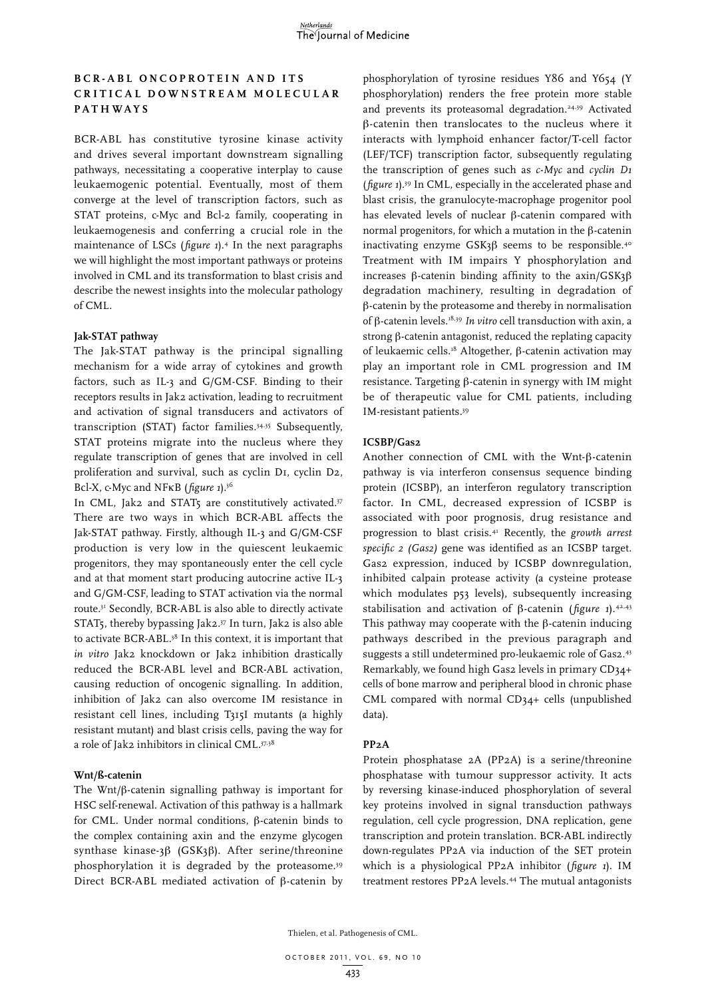# **B C R - ABL o n c o p r o t e i n a n d i t s c r i t i c a l d o w n s t r e a m m o l e cu l a r pa t hwa y s**

BCR-ABL has constitutive tyrosine kinase activity and drives several important downstream signalling pathways, necessitating a cooperative interplay to cause leukaemogenic potential. Eventually, most of them converge at the level of transcription factors, such as STAT proteins, c-Myc and Bcl-2 family, cooperating in leukaemogenesis and conferring a crucial role in the maintenance of LSCs (*figure 1*).4 In the next paragraphs we will highlight the most important pathways or proteins involved in CML and its transformation to blast crisis and describe the newest insights into the molecular pathology of CML.

#### **Jak-STAT pathway**

The Jak-STAT pathway is the principal signalling mechanism for a wide array of cytokines and growth factors, such as IL-3 and G/GM-CSF. Binding to their receptors results in Jak2 activation, leading to recruitment and activation of signal transducers and activators of transcription (STAT) factor families.34,35 Subsequently, STAT proteins migrate into the nucleus where they regulate transcription of genes that are involved in cell proliferation and survival, such as cyclin D1, cyclin D2, Bcl-X, c-Myc and NFkB (*figure 1*).36

In CML, Jak2 and STAT5 are constitutively activated.<sup>37</sup> There are two ways in which BCR-ABL affects the Jak-STAT pathway. Firstly, although IL-3 and G/GM-CSF production is very low in the quiescent leukaemic progenitors, they may spontaneously enter the cell cycle and at that moment start producing autocrine active IL-3 and G/GM-CSF, leading to STAT activation via the normal route.31 Secondly, BCR-ABL is also able to directly activate STAT5, thereby bypassing Jak2.37 In turn, Jak2 is also able to activate BCR-ABL.38 In this context, it is important that *in vitro* Jak2 knockdown or Jak2 inhibition drastically reduced the BCR-ABL level and BCR-ABL activation, causing reduction of oncogenic signalling. In addition, inhibition of Jak2 can also overcome IM resistance in resistant cell lines, including T315I mutants (a highly resistant mutant) and blast crisis cells, paving the way for a role of Jak2 inhibitors in clinical CML.37,38

#### **Wnt/ß-catenin**

The  $Wnt/\beta$ -catenin signalling pathway is important for HSC self-renewal. Activation of this pathway is a hallmark for CML. Under normal conditions,  $\beta$ -catenin binds to the complex containing axin and the enzyme glycogen synthase kinase-3 $\beta$  (GSK3 $\beta$ ). After serine/threonine phosphorylation it is degraded by the proteasome.39 Direct BCR-ABL mediated activation of  $\beta$ -catenin by

phosphorylation of tyrosine residues Y86 and Y654 (Y phosphorylation) renders the free protein more stable and prevents its proteasomal degradation.<sup>24,39</sup> Activated  $\beta$ -catenin then translocates to the nucleus where it interacts with lymphoid enhancer factor/T-cell factor (LEF/TCF) transcription factor, subsequently regulating the transcription of genes such as *c-Myc* and *cyclin D1* (*figure 1*).39 In CML, especially in the accelerated phase and blast crisis, the granulocyte-macrophage progenitor pool has elevated levels of nuclear  $\beta$ -catenin compared with normal progenitors, for which a mutation in the  $\beta$ -catenin inactivating enzyme  $GSK3\beta$  seems to be responsible.<sup>40</sup> Treatment with IM impairs Y phosphorylation and increases  $\beta$ -catenin binding affinity to the axin/GSK3 $\beta$ degradation machinery, resulting in degradation of  $\beta$ -catenin by the proteasome and thereby in normalisation of b-catenin levels.18,39 *In vitro* cell transduction with axin, a strong  $\beta$ -catenin antagonist, reduced the replating capacity of leukaemic cells.<sup>18</sup> Altogether,  $\beta$ -catenin activation may play an important role in CML progression and IM resistance. Targeting  $\beta$ -catenin in synergy with IM might be of therapeutic value for CML patients, including IM-resistant patients.39

#### **ICSBP/Gas2**

Another connection of CML with the Wnt- $\beta$ -catenin pathway is via interferon consensus sequence binding protein (ICSBP), an interferon regulatory transcription factor. In CML, decreased expression of ICSBP is associated with poor prognosis, drug resistance and progression to blast crisis.41 Recently, the *growth arrest specific 2 (Gas2)* gene was identified as an ICSBP target. Gas2 expression, induced by ICSBP downregulation, inhibited calpain protease activity (a cysteine protease which modulates p53 levels), subsequently increasing stabilisation and activation of  $\beta$ -catenin (*figure 1*).<sup>42,43</sup> This pathway may cooperate with the  $\beta$ -catenin inducing pathways described in the previous paragraph and suggests a still undetermined pro-leukaemic role of Gas2.43 Remarkably, we found high Gas2 levels in primary CD34+ cells of bone marrow and peripheral blood in chronic phase CML compared with normal CD34+ cells (unpublished data).

#### **PP2A**

Protein phosphatase 2A (PP2A) is a serine/threonine phosphatase with tumour suppressor activity. It acts by reversing kinase-induced phosphorylation of several key proteins involved in signal transduction pathways regulation, cell cycle progression, DNA replication, gene transcription and protein translation. BCR-ABL indirectly down-regulates PP2A via induction of the SET protein which is a physiological PP2A inhibitor (*figure 1*). IM treatment restores PP2A levels.44 The mutual antagonists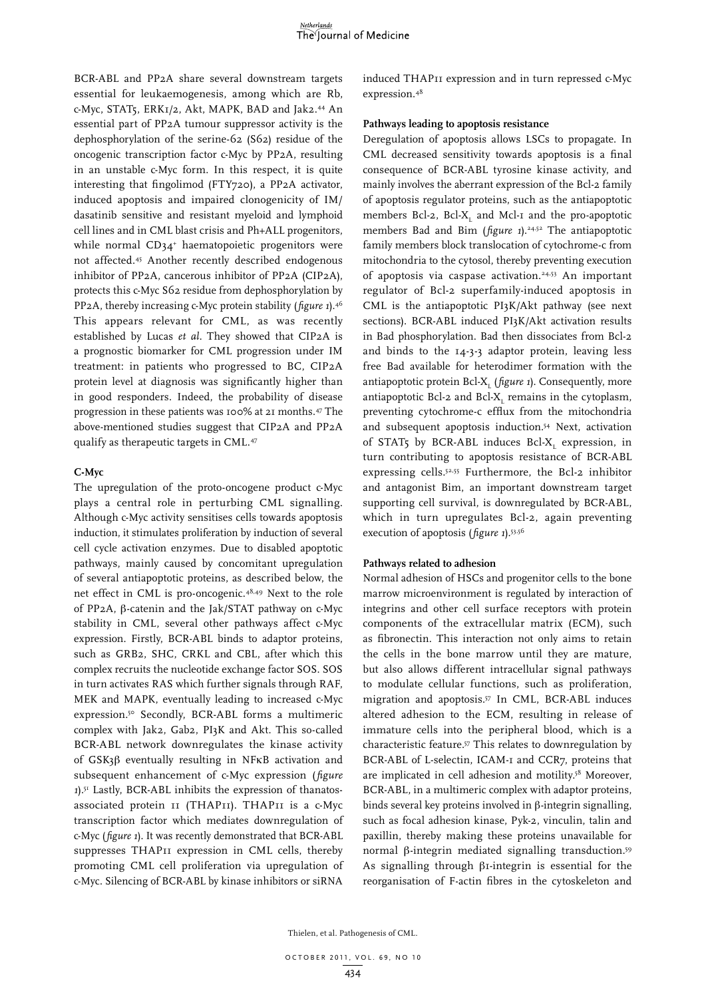BCR-ABL and PP2A share several downstream targets essential for leukaemogenesis, among which are Rb, c-Myc, STAT5, ERK1/2, Akt, MAPK, BAD and Jak2.44 An essential part of PP2A tumour suppressor activity is the dephosphorylation of the serine-62 (S62) residue of the oncogenic transcription factor c-Myc by PP2A, resulting in an unstable c-Myc form. In this respect, it is quite interesting that fingolimod (FTY720), a PP2A activator, induced apoptosis and impaired clonogenicity of IM/ dasatinib sensitive and resistant myeloid and lymphoid cell lines and in CML blast crisis and Ph+ALL progenitors, while normal CD34+ haematopoietic progenitors were not affected.45 Another recently described endogenous inhibitor of PP2A, cancerous inhibitor of PP2A (CIP2A), protects this c-Myc S62 residue from dephosphorylation by PP2A, thereby increasing c-Myc protein stability (*figure 1*).46 This appears relevant for CML, as was recently established by Lucas *et al.* They showed that CIP2A is a prognostic biomarker for CML progression under IM treatment: in patients who progressed to BC, CIP2A protein level at diagnosis was significantly higher than in good responders. Indeed, the probability of disease progression in these patients was 100% at 21 months.47 The above-mentioned studies suggest that CIP2A and PP2A qualify as therapeutic targets in CML.47

### **C-Myc**

The upregulation of the proto-oncogene product c-Myc plays a central role in perturbing CML signalling. Although c-Myc activity sensitises cells towards apoptosis induction, it stimulates proliferation by induction of several cell cycle activation enzymes. Due to disabled apoptotic pathways, mainly caused by concomitant upregulation of several antiapoptotic proteins, as described below, the net effect in CML is pro-oncogenic.48,49 Next to the role of PP2A,  $\beta$ -catenin and the Jak/STAT pathway on c-Myc stability in CML, several other pathways affect c-Myc expression. Firstly, BCR-ABL binds to adaptor proteins, such as GRB2, SHC, CRKL and CBL, after which this complex recruits the nucleotide exchange factor SOS. SOS in turn activates RAS which further signals through RAF, MEK and MAPK, eventually leading to increased c-Myc expression.50 Secondly, BCR-ABL forms a multimeric complex with Jak2, Gab2, PI3K and Akt. This so-called BCR-ABL network downregulates the kinase activity of  $GSK3\beta$  eventually resulting in NFKB activation and subsequent enhancement of c-Myc expression (*figure 1*).51 Lastly, BCR-ABL inhibits the expression of thanatosassociated protein 11 (THAP11). THAP11 is a c-Myc transcription factor which mediates downregulation of c-Myc (*figure 1*). It was recently demonstrated that BCR-ABL suppresses THAP11 expression in CML cells, thereby promoting CML cell proliferation via upregulation of c-Myc. Silencing of BCR-ABL by kinase inhibitors or siRNA

induced THAP11 expression and in turn repressed c-Myc expression.48

#### **Pathways leading to apoptosis resistance**

Deregulation of apoptosis allows LSCs to propagate. In CML decreased sensitivity towards apoptosis is a final consequence of BCR-ABL tyrosine kinase activity, and mainly involves the aberrant expression of the Bcl-2 family of apoptosis regulator proteins, such as the antiapoptotic members Bcl-2,  $Bcl-X_L$  and Mcl-1 and the pro-apoptotic members Bad and Bim (*figure 1*).<sup>24,52</sup> The antiapoptotic family members block translocation of cytochrome-c from mitochondria to the cytosol, thereby preventing execution of apoptosis via caspase activation.<sup>24,53</sup> An important regulator of Bcl-2 superfamily-induced apoptosis in CML is the antiapoptotic PI3K/Akt pathway (see next sections). BCR-ABL induced PI3K/Akt activation results in Bad phosphorylation. Bad then dissociates from Bcl-2 and binds to the 14-3-3 adaptor protein, leaving less free Bad available for heterodimer formation with the antiapoptotic protein Bcl-X<sub>L</sub> (*figure 1*). Consequently, more antiapoptotic Bcl-2 and Bcl- $X_L$  remains in the cytoplasm, preventing cytochrome-c efflux from the mitochondria and subsequent apoptosis induction.54 Next, activation of STAT5 by BCR-ABL induces Bcl- $X_L$  expression, in turn contributing to apoptosis resistance of BCR-ABL expressing cells.52,55 Furthermore, the Bcl-2 inhibitor and antagonist Bim, an important downstream target supporting cell survival, is downregulated by BCR-ABL, which in turn upregulates Bcl-2, again preventing execution of apoptosis (*figure 1*).53,56

### **Pathways related to adhesion**

Normal adhesion of HSCs and progenitor cells to the bone marrow microenvironment is regulated by interaction of integrins and other cell surface receptors with protein components of the extracellular matrix (ECM), such as fibronectin. This interaction not only aims to retain the cells in the bone marrow until they are mature, but also allows different intracellular signal pathways to modulate cellular functions, such as proliferation, migration and apoptosis.57 In CML, BCR-ABL induces altered adhesion to the ECM, resulting in release of immature cells into the peripheral blood, which is a characteristic feature.57 This relates to downregulation by BCR-ABL of L-selectin, ICAM-1 and CCR7, proteins that are implicated in cell adhesion and motility.<sup>58</sup> Moreover, BCR-ABL, in a multimeric complex with adaptor proteins, binds several key proteins involved in  $\beta$ -integrin signalling, such as focal adhesion kinase, Pyk-2, vinculin, talin and paxillin, thereby making these proteins unavailable for normal  $\beta$ -integrin mediated signalling transduction.<sup>59</sup> As signalling through  $\beta_1$ -integrin is essential for the reorganisation of F-actin fibres in the cytoskeleton and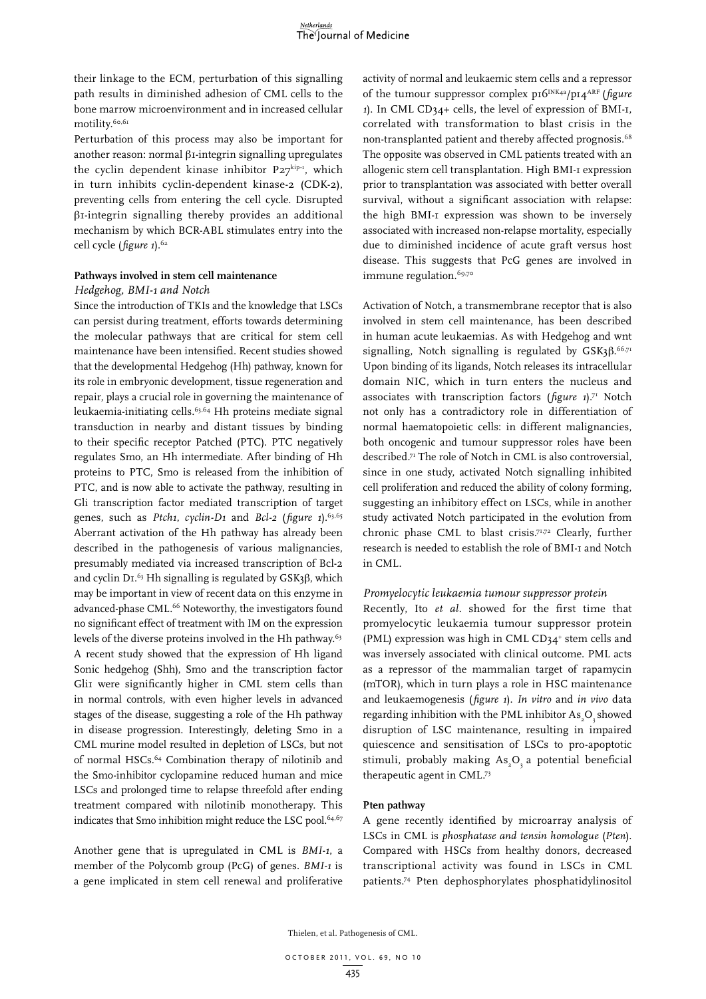their linkage to the ECM, perturbation of this signalling path results in diminished adhesion of CML cells to the bone marrow microenvironment and in increased cellular motility.<sup>60,61</sup>

Perturbation of this process may also be important for another reason: normal  $\beta$ I-integrin signalling upregulates the cyclin dependent kinase inhibitor  $P27^{kip\text{-}1}$ , which in turn inhibits cyclin-dependent kinase-2 (CDK-2), preventing cells from entering the cell cycle. Disrupted  $\beta$ 1-integrin signalling thereby provides an additional mechanism by which BCR-ABL stimulates entry into the cell cycle (*figure* 1).<sup>62</sup>

#### **Pathways involved in stem cell maintenance**

# *Hedgehog, BMI-1 and Notch*

Since the introduction of TKIs and the knowledge that LSCs can persist during treatment, efforts towards determining the molecular pathways that are critical for stem cell maintenance have been intensified. Recent studies showed that the developmental Hedgehog (Hh) pathway, known for its role in embryonic development, tissue regeneration and repair, plays a crucial role in governing the maintenance of leukaemia-initiating cells.63,64 Hh proteins mediate signal transduction in nearby and distant tissues by binding to their specific receptor Patched (PTC). PTC negatively regulates Smo, an Hh intermediate. After binding of Hh proteins to PTC, Smo is released from the inhibition of PTC, and is now able to activate the pathway, resulting in Gli transcription factor mediated transcription of target genes, such as *Ptch1*, *cyclin-D1* and *Bcl-2* (*figure 1*).63,65 Aberrant activation of the Hh pathway has already been described in the pathogenesis of various malignancies, presumably mediated via increased transcription of Bcl-2 and cyclin D<sub>I.</sub><sup>63</sup> Hh signalling is regulated by  $GSK_3\beta$ , which may be important in view of recent data on this enzyme in advanced-phase CML.<sup>66</sup> Noteworthy, the investigators found no significant effect of treatment with IM on the expression levels of the diverse proteins involved in the Hh pathway.<sup>63</sup> A recent study showed that the expression of Hh ligand Sonic hedgehog (Shh), Smo and the transcription factor Gli1 were significantly higher in CML stem cells than in normal controls, with even higher levels in advanced stages of the disease, suggesting a role of the Hh pathway in disease progression. Interestingly, deleting Smo in a CML murine model resulted in depletion of LSCs, but not of normal HSCs.64 Combination therapy of nilotinib and the Smo-inhibitor cyclopamine reduced human and mice LSCs and prolonged time to relapse threefold after ending treatment compared with nilotinib monotherapy. This indicates that Smo inhibition might reduce the LSC pool.<sup>64,67</sup>

Another gene that is upregulated in CML is *BMI-1*, a member of the Polycomb group (PcG) of genes. *BMI-1* is a gene implicated in stem cell renewal and proliferative activity of normal and leukaemic stem cells and a repressor of the tumour suppressor complex p16INK4a/p14ARF (*figure 1*). In CML CD34+ cells, the level of expression of BMI-1, correlated with transformation to blast crisis in the non-transplanted patient and thereby affected prognosis.68 The opposite was observed in CML patients treated with an allogenic stem cell transplantation. High BMI-1 expression prior to transplantation was associated with better overall survival, without a significant association with relapse: the high BMI-1 expression was shown to be inversely associated with increased non-relapse mortality, especially due to diminished incidence of acute graft versus host disease. This suggests that PcG genes are involved in immune regulation.<sup>69,70</sup>

Activation of Notch, a transmembrane receptor that is also involved in stem cell maintenance, has been described in human acute leukaemias. As with Hedgehog and wnt signalling, Notch signalling is regulated by  $GSK3\beta$ .<sup>66,71</sup> Upon binding of its ligands, Notch releases its intracellular domain NIC, which in turn enters the nucleus and associates with transcription factors (*figure 1*).71 Notch not only has a contradictory role in differentiation of normal haematopoietic cells: in different malignancies, both oncogenic and tumour suppressor roles have been described.71 The role of Notch in CML is also controversial, since in one study, activated Notch signalling inhibited cell proliferation and reduced the ability of colony forming, suggesting an inhibitory effect on LSCs, while in another study activated Notch participated in the evolution from chronic phase CML to blast crisis.71,72 Clearly, further research is needed to establish the role of BMI-1 and Notch in CML.

### *Promyelocytic leukaemia tumour suppressor protein*

Recently, Ito *et al.* showed for the first time that promyelocytic leukaemia tumour suppressor protein (PML) expression was high in CML CD34<sup>+</sup> stem cells and was inversely associated with clinical outcome. PML acts as a repressor of the mammalian target of rapamycin (mTOR), which in turn plays a role in HSC maintenance and leukaemogenesis (*figure 1*). *In vitro* and *in vivo* data regarding inhibition with the PML inhibitor  $\mathrm{As}_\mathrm{_2}\mathrm{O}_\mathrm{_3}$  showed disruption of LSC maintenance, resulting in impaired quiescence and sensitisation of LSCs to pro-apoptotic stimuli, probably making  $\text{As}_{2}\text{O}_{3}$  a potential beneficial therapeutic agent in CML.73

#### **Pten pathway**

A gene recently identified by microarray analysis of LSCs in CML is *phosphatase and tensin homologue* (*Pten*). Compared with HSCs from healthy donors, decreased transcriptional activity was found in LSCs in CML patients.74 Pten dephosphorylates phosphatidylinositol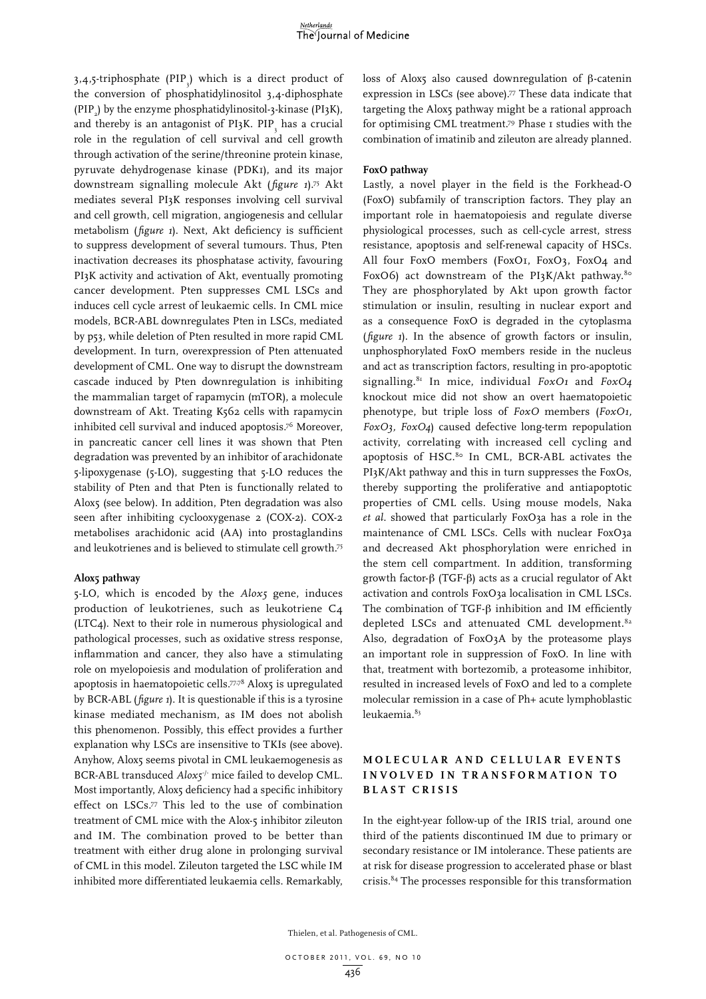3,4,5-triphosphate (PIP $_{3}$ ) which is a direct product of the conversion of phosphatidylinositol 3,4-diphosphate (PIP<sub>2</sub>) by the enzyme phosphatidylinositol-3-kinase (PI3K), and thereby is an antagonist of PI3K. PIP $\frac{1}{3}$  has a crucial role in the regulation of cell survival and cell growth through activation of the serine/threonine protein kinase, pyruvate dehydrogenase kinase (PDK1), and its major downstream signalling molecule Akt (*figure 1*).75 Akt mediates several PI3K responses involving cell survival and cell growth, cell migration, angiogenesis and cellular metabolism (*figure 1*). Next, Akt deficiency is sufficient to suppress development of several tumours. Thus, Pten inactivation decreases its phosphatase activity, favouring PI3K activity and activation of Akt, eventually promoting cancer development. Pten suppresses CML LSCs and induces cell cycle arrest of leukaemic cells. In CML mice models, BCR-ABL downregulates Pten in LSCs, mediated by p53, while deletion of Pten resulted in more rapid CML development. In turn, overexpression of Pten attenuated development of CML. One way to disrupt the downstream cascade induced by Pten downregulation is inhibiting the mammalian target of rapamycin (mTOR), a molecule downstream of Akt. Treating K562 cells with rapamycin inhibited cell survival and induced apoptosis.76 Moreover, in pancreatic cancer cell lines it was shown that Pten degradation was prevented by an inhibitor of arachidonate 5-lipoxygenase (5-LO), suggesting that 5-LO reduces the stability of Pten and that Pten is functionally related to Alox5 (see below). In addition, Pten degradation was also seen after inhibiting cyclooxygenase 2 (COX-2). COX-2 metabolises arachidonic acid (AA) into prostaglandins and leukotrienes and is believed to stimulate cell growth.75

#### **Alox5 pathway**

5-LO, which is encoded by the *Alox5* gene, induces production of leukotrienes, such as leukotriene C4 (LTC4). Next to their role in numerous physiological and pathological processes, such as oxidative stress response, inflammation and cancer, they also have a stimulating role on myelopoiesis and modulation of proliferation and apoptosis in haematopoietic cells.<sup>77,78</sup> Alox5 is upregulated by BCR-ABL (*figure 1*). It is questionable if this is a tyrosine kinase mediated mechanism, as IM does not abolish this phenomenon. Possibly, this effect provides a further explanation why LSCs are insensitive to TKIs (see above). Anyhow, Alox5 seems pivotal in CML leukaemogenesis as BCR-ABL transduced *Alox5<sup>1</sup>* mice failed to develop CML. Most importantly, Alox5 deficiency had a specific inhibitory effect on LSCs.77 This led to the use of combination treatment of CML mice with the Alox-5 inhibitor zileuton and IM. The combination proved to be better than treatment with either drug alone in prolonging survival of CML in this model. Zileuton targeted the LSC while IM inhibited more differentiated leukaemia cells. Remarkably,

loss of Alox5 also caused downregulation of  $\beta$ -catenin expression in LSCs (see above).<sup>77</sup> These data indicate that targeting the Alox5 pathway might be a rational approach for optimising CML treatment.79 Phase 1 studies with the combination of imatinib and zileuton are already planned.

#### **FoxO pathway**

Lastly, a novel player in the field is the Forkhead-O (FoxO) subfamily of transcription factors. They play an important role in haematopoiesis and regulate diverse physiological processes, such as cell-cycle arrest, stress resistance, apoptosis and self-renewal capacity of HSCs. All four FoxO members (FoxO1, FoxO3, FoxO4 and FoxO6) act downstream of the PI3K/Akt pathway.<sup>80</sup> They are phosphorylated by Akt upon growth factor stimulation or insulin, resulting in nuclear export and as a consequence FoxO is degraded in the cytoplasma (*figure 1*). In the absence of growth factors or insulin, unphosphorylated FoxO members reside in the nucleus and act as transcription factors, resulting in pro-apoptotic signalling.81 In mice, individual *FoxO1* and *FoxO4* knockout mice did not show an overt haematopoietic phenotype, but triple loss of *FoxO* members (*FoxO1, FoxO3, FoxO4*) caused defective long-term repopulation activity, correlating with increased cell cycling and apoptosis of HSC.<sup>80</sup> In CML, BCR-ABL activates the PI3K/Akt pathway and this in turn suppresses the FoxOs, thereby supporting the proliferative and antiapoptotic properties of CML cells. Using mouse models, Naka *et al.* showed that particularly FoxO3a has a role in the maintenance of CML LSCs. Cells with nuclear FoxO3a and decreased Akt phosphorylation were enriched in the stem cell compartment. In addition, transforming growth factor- $\beta$  (TGF- $\beta$ ) acts as a crucial regulator of Akt activation and controls FoxO3a localisation in CML LSCs. The combination of TGF- $\beta$  inhibition and IM efficiently depleted LSCs and attenuated CML development.<sup>82</sup> Also, degradation of FoxO3A by the proteasome plays an important role in suppression of FoxO. In line with that, treatment with bortezomib, a proteasome inhibitor, resulted in increased levels of FoxO and led to a complete molecular remission in a case of Ph+ acute lymphoblastic leukaemia.83

# **M o l e cu l a r a n d c e l l u l a r e v e n t s i n v o lv e d i n t r a n s f o r m a t i o n t o b l a s t c r i s i s**

In the eight-year follow-up of the IRIS trial, around one third of the patients discontinued IM due to primary or secondary resistance or IM intolerance. These patients are at risk for disease progression to accelerated phase or blast crisis.84 The processes responsible for this transformation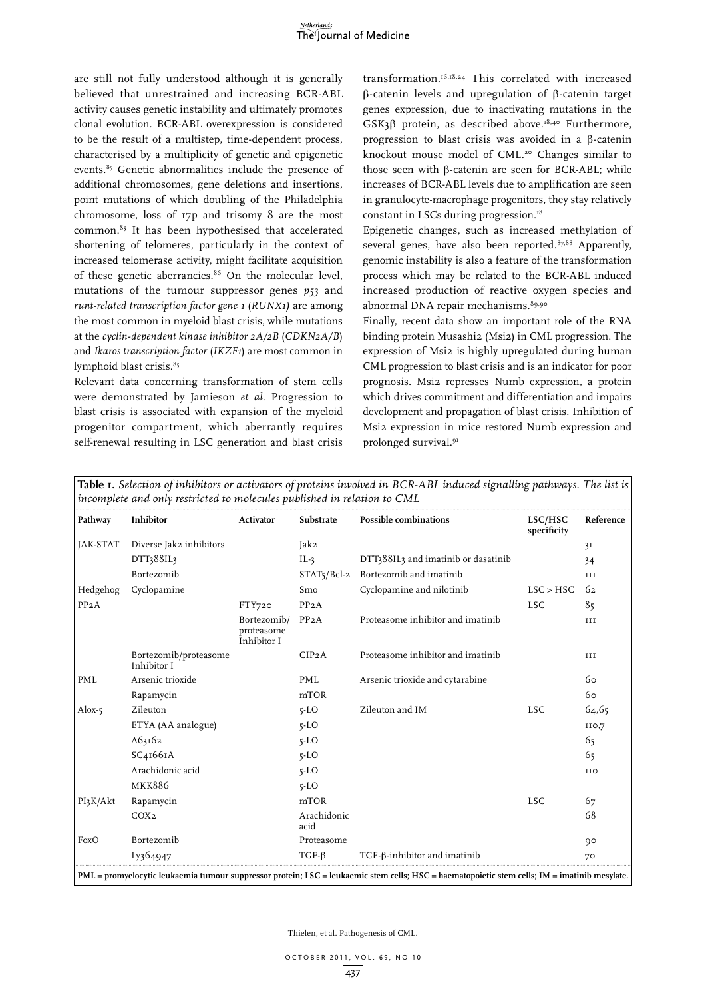

are still not fully understood although it is generally believed that unrestrained and increasing BCR-ABL activity causes genetic instability and ultimately promotes clonal evolution. BCR-ABL overexpression is considered to be the result of a multistep, time-dependent process, characterised by a multiplicity of genetic and epigenetic events.<sup>85</sup> Genetic abnormalities include the presence of additional chromosomes, gene deletions and insertions, point mutations of which doubling of the Philadelphia chromosome, loss of 17p and trisomy 8 are the most common.<sup>85</sup> It has been hypothesised that accelerated shortening of telomeres, particularly in the context of increased telomerase activity, might facilitate acquisition of these genetic aberrancies.<sup>86</sup> On the molecular level, mutations of the tumour suppressor genes *p53* and *runt-related transcription factor gene 1* (*RUNX1)* are among the most common in myeloid blast crisis, while mutations at the *cyclin-dependent kinase inhibitor 2A/2B* (*CDKN2A/B*) and *Ikaros transcription factor* (*IKZF1*) are most common in lymphoid blast crisis.<sup>85</sup>

Relevant data concerning transformation of stem cells were demonstrated by Jamieson *et al*. Progression to blast crisis is associated with expansion of the myeloid progenitor compartment, which aberrantly requires self-renewal resulting in LSC generation and blast crisis

transformation.16,18,24 This correlated with increased  $\beta$ -catenin levels and upregulation of  $\beta$ -catenin target genes expression, due to inactivating mutations in the GSK3 $\beta$  protein, as described above.<sup>18,40</sup> Furthermore, progression to blast crisis was avoided in a  $\beta$ -catenin knockout mouse model of CML.<sup>20</sup> Changes similar to those seen with  $\beta$ -catenin are seen for BCR-ABL; while increases of BCR-ABL levels due to amplification are seen in granulocyte-macrophage progenitors, they stay relatively constant in LSCs during progression. $18$ 

Epigenetic changes, such as increased methylation of several genes, have also been reported.<sup>87,88</sup> Apparently, genomic instability is also a feature of the transformation process which may be related to the BCR-ABL induced increased production of reactive oxygen species and abnormal DNA repair mechanisms. 89,90

Finally, recent data show an important role of the RNA binding protein Musashi2 (Msi2) in CML progression. The expression of Msi2 is highly upregulated during human CML progression to blast crisis and is an indicator for poor prognosis. Msi2 represses Numb expression, a protein which drives commitment and differentiation and impairs development and propagation of blast crisis. Inhibition of Msi2 expression in mice restored Numb expression and prolonged survival.91

| Pathway    | Inhibitor                            | <b>Activator</b>                         | <b>Substrate</b>    | Possible combinations               | LSC/HSC<br>specificity | Reference |
|------------|--------------------------------------|------------------------------------------|---------------------|-------------------------------------|------------------------|-----------|
| JAK-STAT   | Diverse Jak2 inhibitors              |                                          | Jak2                |                                     |                        | 3I        |
|            | DTT388IL3                            |                                          | $IL-3$              | DTT388IL3 and imatinib or dasatinib |                        | 34        |
|            | Bortezomib                           |                                          | $STAT5/Bcl-2$       | Bortezomib and imatinib             |                        | III       |
| Hedgehog   | Cyclopamine                          |                                          | Smo                 | Cyclopamine and nilotinib           | LSC > HSC              | 62        |
| PP2A       |                                      | FTY720                                   | PP <sub>2</sub> A   |                                     | <b>LSC</b>             | 85        |
|            |                                      | Bortezomib/<br>proteasome<br>Inhibitor I | PP2A                | Proteasome inhibitor and imatinib   |                        | $\;$ III  |
|            | Bortezomib/proteasome<br>Inhibitor I |                                          | CIP <sub>2</sub> A  | Proteasome inhibitor and imatinib   |                        | III       |
| <b>PML</b> | Arsenic trioxide                     |                                          | PML                 | Arsenic trioxide and cytarabine     |                        | 60        |
|            | Rapamycin                            |                                          | mTOR                |                                     |                        | 60        |
| Alox- $5$  | Zileuton                             |                                          | $5 - LO$            | Zileuton and IM                     | <b>LSC</b>             | 64,65     |
|            | ETYA (AA analogue)                   |                                          | $5 - LO$            |                                     |                        | IIO,7     |
|            | A63162                               |                                          | $5 - LO$            |                                     |                        | 65        |
|            | SC4I66IA                             |                                          | $5 - LO$            |                                     |                        | 65        |
|            | Arachidonic acid                     |                                          | $5 - LO$            |                                     |                        | IIO       |
|            | <b>MKK886</b>                        |                                          | $5 - LO$            |                                     |                        |           |
| PI3K/Akt   | Rapamycin                            |                                          | mTOR                |                                     | <b>LSC</b>             | 67        |
|            | COX <sub>2</sub>                     |                                          | Arachidonic<br>acid |                                     |                        | 68        |
| FoxO       | Bortezomib                           |                                          | Proteasome          |                                     |                        | 90        |
|            | Ly364947                             |                                          | $TGF-\beta$         | TGF-ß-inhibitor and imatinib        |                        | 70        |

**Table 1.** *Selection of inhibitors or activators of proteins involved in BCR-ABL induced signalling pathways. The list is*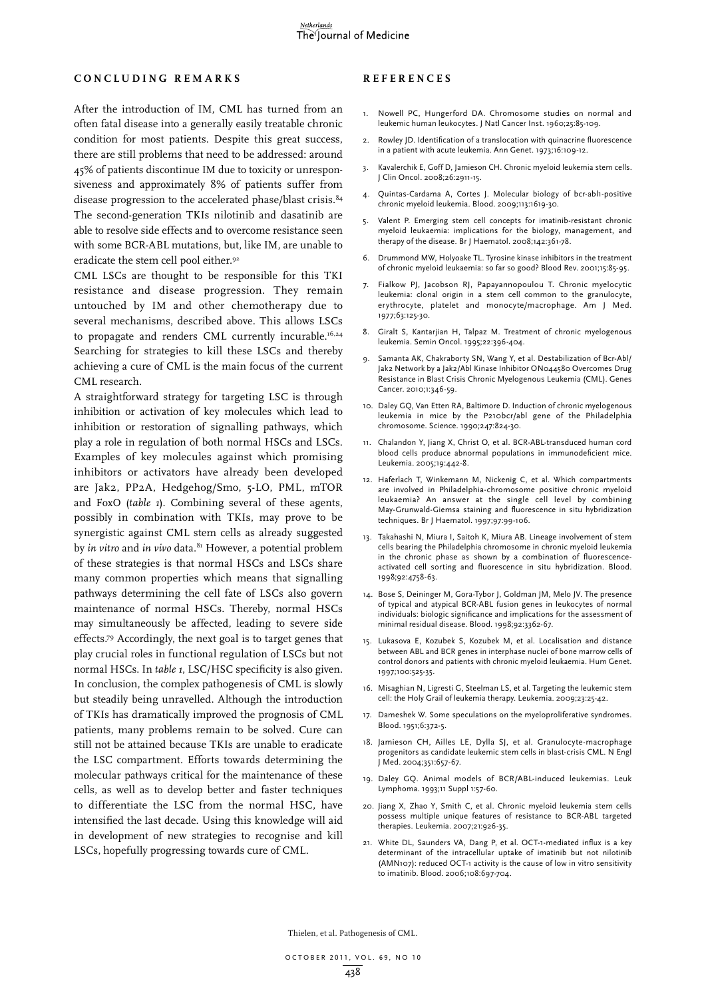### **C o n c l u d i n g r e m a r k s**

# After the introduction of IM, CML has turned from an often fatal disease into a generally easily treatable chronic condition for most patients. Despite this great success, there are still problems that need to be addressed: around 45% of patients discontinue IM due to toxicity or unresponsiveness and approximately 8% of patients suffer from disease progression to the accelerated phase/blast crisis.<sup>84</sup> The second-generation TKIs nilotinib and dasatinib are able to resolve side effects and to overcome resistance seen with some BCR-ABL mutations, but, like IM, are unable to eradicate the stem cell pool either.<sup>92</sup>

CML LSCs are thought to be responsible for this TKI resistance and disease progression. They remain untouched by IM and other chemotherapy due to several mechanisms, described above. This allows LSCs to propagate and renders CML currently incurable.<sup>16,24</sup> Searching for strategies to kill these LSCs and thereby achieving a cure of CML is the main focus of the current CML research.

A straightforward strategy for targeting LSC is through inhibition or activation of key molecules which lead to inhibition or restoration of signalling pathways, which play a role in regulation of both normal HSCs and LSCs. Examples of key molecules against which promising inhibitors or activators have already been developed are Jak2, PP2A, Hedgehog/Smo, 5-LO, PML, mTOR and FoxO (*table 1*). Combining several of these agents, possibly in combination with TKIs, may prove to be synergistic against CML stem cells as already suggested by *in vitro* and *in vivo* data.<sup>81</sup> However, a potential problem of these strategies is that normal HSCs and LSCs share many common properties which means that signalling pathways determining the cell fate of LSCs also govern maintenance of normal HSCs. Thereby, normal HSCs may simultaneously be affected, leading to severe side effects.79 Accordingly, the next goal is to target genes that play crucial roles in functional regulation of LSCs but not normal HSCs. In *table 1*, LSC/HSC specificity is also given. In conclusion, the complex pathogenesis of CML is slowly but steadily being unravelled. Although the introduction of TKIs has dramatically improved the prognosis of CML patients, many problems remain to be solved. Cure can still not be attained because TKIs are unable to eradicate the LSC compartment. Efforts towards determining the molecular pathways critical for the maintenance of these cells, as well as to develop better and faster techniques to differentiate the LSC from the normal HSC, have intensified the last decade. Using this knowledge will aid in development of new strategies to recognise and kill LSCs, hopefully progressing towards cure of CML.

#### **REFEREN C ES**

- 1. Nowell PC, Hungerford DA. Chromosome studies on normal and leukemic human leukocytes. J Natl Cancer Inst. 1960;25:85-109.
- 2. Rowley JD. Identification of a translocation with quinacrine fluorescence in a patient with acute leukemia. Ann Genet. 1973;16:109-12.
- 3. Kavalerchik E, Goff D, Jamieson CH. Chronic myeloid leukemia stem cells. J Clin Oncol. 2008;26:2911-15.
- 4. Quintas-Cardama A, Cortes J. Molecular biology of bcr-abl1-positive chronic myeloid leukemia. Blood. 2009;113:1619-30.
- 5. Valent P. Emerging stem cell concepts for imatinib-resistant chronic myeloid leukaemia: implications for the biology, management, and therapy of the disease. Br J Haematol. 2008;142:361-78.
- 6. Drummond MW, Holyoake TL. Tyrosine kinase inhibitors in the treatment of chronic myeloid leukaemia: so far so good? Blood Rev. 2001;15:85-95.
- 7. Fialkow PJ, Jacobson RJ, Papayannopoulou T. Chronic myelocytic leukemia: clonal origin in a stem cell common to the granulocyte, erythrocyte, platelet and monocyte/macrophage. Am J Med. 1977;63:125-30.
- 8. Giralt S, Kantarjian H, Talpaz M. Treatment of chronic myelogenous leukemia. Semin Oncol. 1995;22:396-404.
- 9. Samanta AK, Chakraborty SN, Wang Y, et al. Destabilization of Bcr-Abl/ Jak2 Network by a Jak2/Abl Kinase Inhibitor ON044580 Overcomes Drug Resistance in Blast Crisis Chronic Myelogenous Leukemia (CML). Genes Cancer. 2010;1:346-59.
- 10. Daley GQ, Van Etten RA, Baltimore D. Induction of chronic myelogenous leukemia in mice by the P210bcr/abl gene of the Philadelphia chromosome. Science. 1990;247:824-30.
- 11. Chalandon Y, Jiang X, Christ O, et al. BCR-ABL-transduced human cord blood cells produce abnormal populations in immunodeficient mice. Leukemia. 2005;19:442-8.
- 12. Haferlach T, Winkemann M, Nickenig C, et al. Which compartments are involved in Philadelphia-chromosome positive chronic myeloid leukaemia? An answer at the single cell level by combining May-Grunwald-Giemsa staining and fluorescence in situ hybridization techniques. Br J Haematol. 1997;97:99-106.
- 13. Takahashi N, Miura I, Saitoh K, Miura AB. Lineage involvement of stem cells bearing the Philadelphia chromosome in chronic myeloid leukemia in the chronic phase as shown by a combination of fluorescenceactivated cell sorting and fluorescence in situ hybridization. Blood. 1998;92:4758-63.
- 14. Bose S, Deininger M, Gora-Tybor J, Goldman JM, Melo JV. The presence of typical and atypical BCR-ABL fusion genes in leukocytes of normal individuals: biologic significance and implications for the assessment of minimal residual disease. Blood. 1998;92:3362-67.
- 15. Lukasova E, Kozubek S, Kozubek M, et al. Localisation and distance between ABL and BCR genes in interphase nuclei of bone marrow cells of control donors and patients with chronic myeloid leukaemia. Hum Genet. 1997;100:525-35.
- 16. Misaghian N, Ligresti G, Steelman LS, et al. Targeting the leukemic stem cell: the Holy Grail of leukemia therapy. Leukemia. 2009;23:25-42.
- 17. Dameshek W. Some speculations on the myeloproliferative syndromes. Blood. 1951;6:372-5.
- 18. Jamieson CH, Ailles LE, Dylla SJ, et al. Granulocyte-macrophage progenitors as candidate leukemic stem cells in blast-crisis CML. N Engl J Med. 2004;351:657-67.
- 19. Daley GQ. Animal models of BCR/ABL-induced leukemias. Leuk Lymphoma. 1993;11 Suppl 1:57-60.
- 20. Jiang X, Zhao Y, Smith C, et al. Chronic myeloid leukemia stem cells possess multiple unique features of resistance to BCR-ABL targeted therapies. Leukemia. 2007;21:926-35.
- 21. White DL, Saunders VA, Dang P, et al. OCT-1-mediated influx is a key determinant of the intracellular uptake of imatinib but not nilotinib (AMN107): reduced OCT-1 activity is the cause of low in vitro sensitivity to imatinib. Blood. 2006;108:697-704.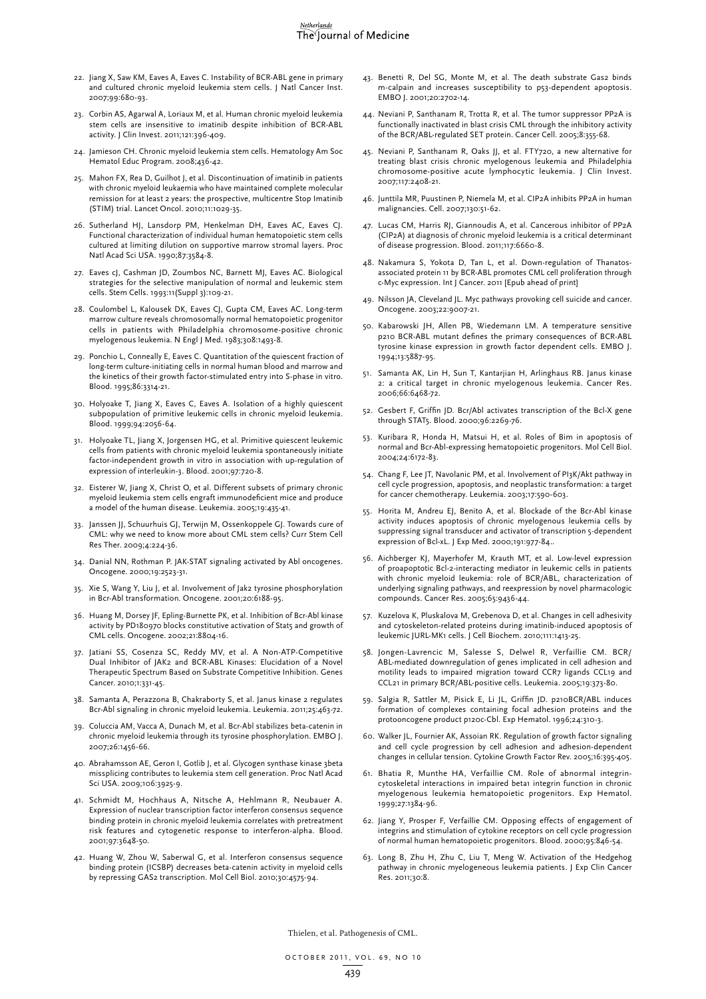#### Netherlands The Journal of Medicine

- 22. Jiang X, Saw KM, Eaves A, Eaves C. Instability of BCR-ABL gene in primary and cultured chronic myeloid leukemia stem cells. J Natl Cancer Inst. 2007;99:680-93.
- 23. Corbin AS, Agarwal A, Loriaux M, et al. Human chronic myeloid leukemia stem cells are insensitive to imatinib despite inhibition of BCR-ABL activity. J Clin Invest. 2011;121:396-409.
- 24. Jamieson CH. Chronic myeloid leukemia stem cells. Hematology Am Soc Hematol Educ Program. 2008;436-42.
- 25. Mahon FX, Rea D, Guilhot J, et al. Discontinuation of imatinib in patients with chronic myeloid leukaemia who have maintained complete molecular remission for at least 2 years: the prospective, multicentre Stop Imatinib (STIM) trial. Lancet Oncol. 2010;11:1029-35.
- 26. Sutherland HJ, Lansdorp PM, Henkelman DH, Eaves AC, Eaves CJ. Functional characterization of individual human hematopoietic stem cells cultured at limiting dilution on supportive marrow stromal layers. Proc Natl Acad Sci USA. 1990;87:3584-8.
- 27. Eaves cJ, Cashman JD, Zoumbos NC, Barnett MJ, Eaves AC. Biological strategies for the selective manipulation of normal and leukemic stem cells. Stem Cells. 1993:11(Suppl 3):109-21.
- 28. Coulombel L, Kalousek DK, Eaves CJ, Gupta CM, Eaves AC. Long-term marrow culture reveals chromosomally normal hematopoietic progenitor cells in patients with Philadelphia chromosome-positive chronic myelogenous leukemia. N Engl J Med. 1983;308:1493-8.
- 29. Ponchio L, Conneally E, Eaves C. Quantitation of the quiescent fraction of long-term culture-initiating cells in normal human blood and marrow and the kinetics of their growth factor-stimulated entry into S-phase in vitro. Blood. 1995;86:3314-21.
- 30. Holyoake T, Jiang X, Eaves C, Eaves A. Isolation of a highly quiescent subpopulation of primitive leukemic cells in chronic myeloid leukemia. Blood. 1999;94:2056-64.
- 31. Holyoake TL, Jiang X, Jorgensen HG, et al. Primitive quiescent leukemic cells from patients with chronic myeloid leukemia spontaneously initiate factor-independent growth in vitro in association with up-regulation of expression of interleukin-3. Blood. 2001;97:720-8.
- 32. Eisterer W, Jiang X, Christ O, et al. Different subsets of primary chronic myeloid leukemia stem cells engraft immunodeficient mice and produce a model of the human disease. Leukemia. 2005;19:435-41.
- 33. Janssen JJ, Schuurhuis GJ, Terwijn M, Ossenkoppele GJ. Towards cure of CML: why we need to know more about CML stem cells? Curr Stem Cell Res Ther. 2009;4:224-36.
- 34. Danial NN, Rothman P. JAK-STAT signaling activated by Abl oncogenes. Oncogene. 2000;19:2523-31.
- 35. Xie S, Wang Y, Liu J, et al. Involvement of Jak2 tyrosine phosphorylation in Bcr-Abl transformation. Oncogene. 2001;20:6188-95.
- 36. Huang M, Dorsey JF, Epling-Burnette PK, et al. Inhibition of Bcr-Abl kinase activity by PD180970 blocks constitutive activation of Stat5 and growth of CML cells. Oncogene. 2002;21:8804-16.
- 37. Jatiani SS, Cosenza SC, Reddy MV, et al. A Non-ATP-Competitive Dual Inhibitor of JAK2 and BCR-ABL Kinases: Elucidation of a Novel Therapeutic Spectrum Based on Substrate Competitive Inhibition. Genes Cancer. 2010;1:331-45.
- 38. Samanta A, Perazzona B, Chakraborty S, et al. Janus kinase 2 regulates Bcr-Abl signaling in chronic myeloid leukemia. Leukemia. 2011;25:463-72.
- 39. Coluccia AM, Vacca A, Dunach M, et al. Bcr-Abl stabilizes beta-catenin in chronic myeloid leukemia through its tyrosine phosphorylation. EMBO J. 2007;26:1456-66.
- 40. Abrahamsson AE, Geron I, Gotlib J, et al. Glycogen synthase kinase 3beta missplicing contributes to leukemia stem cell generation. Proc Natl Acad Sci USA. 2009;106:3925-9.
- 41. Schmidt M, Hochhaus A, Nitsche A, Hehlmann R, Neubauer A. Expression of nuclear transcription factor interferon consensus sequence binding protein in chronic myeloid leukemia correlates with pretreatment risk features and cytogenetic response to interferon-alpha. Blood. 2001;97:3648-50.
- 42. Huang W, Zhou W, Saberwal G, et al. Interferon consensus sequence binding protein (ICSBP) decreases beta-catenin activity in myeloid cells by repressing GAS2 transcription. Mol Cell Biol. 2010;30:4575-94.
- 43. Benetti R, Del SG, Monte M, et al. The death substrate Gas2 binds m-calpain and increases susceptibility to p53-dependent apoptosis. EMBO J. 2001;20:2702-14.
- 44. Neviani P, Santhanam R, Trotta R, et al. The tumor suppressor PP2A is functionally inactivated in blast crisis CML through the inhibitory activity of the BCR/ABL-regulated SET protein. Cancer Cell. 2005;8:355-68.
- 45. Neviani P, Santhanam R, Oaks JJ, et al. FTY720, a new alternative for treating blast crisis chronic myelogenous leukemia and Philadelphia chromosome-positive acute lymphocytic leukemia. J Clin Invest. 2007;117:2408-21.
- 46. Junttila MR, Puustinen P, Niemela M, et al. CIP2A inhibits PP2A in human malignancies. Cell. 2007;130:51-62.
- 47. Lucas CM, Harris RJ, Giannoudis A, et al. Cancerous inhibitor of PP2A (CIP2A) at diagnosis of chronic myeloid leukemia is a critical determinant of disease progression. Blood. 2011;117:6660-8.
- 48. Nakamura S, Yokota D, Tan L, et al. Down-regulation of Thanatosassociated protein 11 by BCR-ABL promotes CML cell proliferation through c-Myc expression. Int J Cancer. 2011 [Epub ahead of print]
- 49. Nilsson JA, Cleveland JL. Myc pathways provoking cell suicide and cancer. Oncogene. 2003;22:9007-21.
- 50. Kabarowski JH, Allen PB, Wiedemann LM. A temperature sensitive p210 BCR-ABL mutant defines the primary consequences of BCR-ABL tyrosine kinase expression in growth factor dependent cells. EMBO J. 1994;13:5887-95.
- 51. Samanta AK, Lin H, Sun T, Kantarjian H, Arlinghaus RB. Janus kinase 2: a critical target in chronic myelogenous leukemia. Cancer Res. 2006;66:6468-72.
- 52. Gesbert F, Griffin JD. Bcr/Abl activates transcription of the Bcl-X gene through STAT5. Blood. 2000;96:2269-76.
- 53. Kuribara R, Honda H, Matsui H, et al. Roles of Bim in apoptosis of normal and Bcr-Abl-expressing hematopoietic progenitors. Mol Cell Biol. 2004;24:6172-83.
- 54. Chang F, Lee JT, Navolanic PM, et al. Involvement of PI3K/Akt pathway in cell cycle progression, apoptosis, and neoplastic transformation: a target for cancer chemotherapy. Leukemia. 2003;17:590-603.
- 55. Horita M, Andreu EJ, Benito A, et al. Blockade of the Bcr-Abl kinase activity induces apoptosis of chronic myelogenous leukemia cells by suppressing signal transducer and activator of transcription 5-dependent expression of Bcl-xL. J Exp Med. 2000;191:977-84..
- 56. Aichberger KJ, Mayerhofer M, Krauth MT, et al. Low-level expression of proapoptotic Bcl-2-interacting mediator in leukemic cells in patients with chronic myeloid leukemia: role of BCR/ABL, characterization of underlying signaling pathways, and reexpression by novel pharmacologic compounds. Cancer Res. 2005;65:9436-44.
- 57. Kuzelova K, Pluskalova M, Grebenova D, et al. Changes in cell adhesivity and cytoskeleton-related proteins during imatinib-induced apoptosis of leukemic JURL-MK1 cells. J Cell Biochem. 2010;111:1413-25.
- 58. Jongen-Lavrencic M, Salesse S, Delwel R, Verfaillie CM. BCR/ ABL-mediated downregulation of genes implicated in cell adhesion and motility leads to impaired migration toward CCR7 ligands CCL19 and CCL21 in primary BCR/ABL-positive cells. Leukemia. 2005;19:373-80.
- 59. Salgia R, Sattler M, Pisick E, Li JL, Griffin JD. p210BCR/ABL induces formation of complexes containing focal adhesion proteins and the protooncogene product p120c-Cbl. Exp Hematol. 1996;24:310-3.
- 60. Walker JL, Fournier AK, Assoian RK. Regulation of growth factor signaling and cell cycle progression by cell adhesion and adhesion-dependent changes in cellular tension. Cytokine Growth Factor Rev. 2005;16:395-405.
- 61. Bhatia R, Munthe HA, Verfaillie CM. Role of abnormal integrincytoskeletal interactions in impaired beta1 integrin function in chronic myelogenous leukemia hematopoietic progenitors. Exp Hematol. 1999;27:1384-96.
- 62. Jiang Y, Prosper F, Verfaillie CM. Opposing effects of engagement of integrins and stimulation of cytokine receptors on cell cycle progression of normal human hematopoietic progenitors. Blood. 2000;95:846-54.
- 63. Long B, Zhu H, Zhu C, Liu T, Meng W. Activation of the Hedgehog pathway in chronic myelogeneous leukemia patients. J Exp Clin Cancer Res. 2011;30:8.